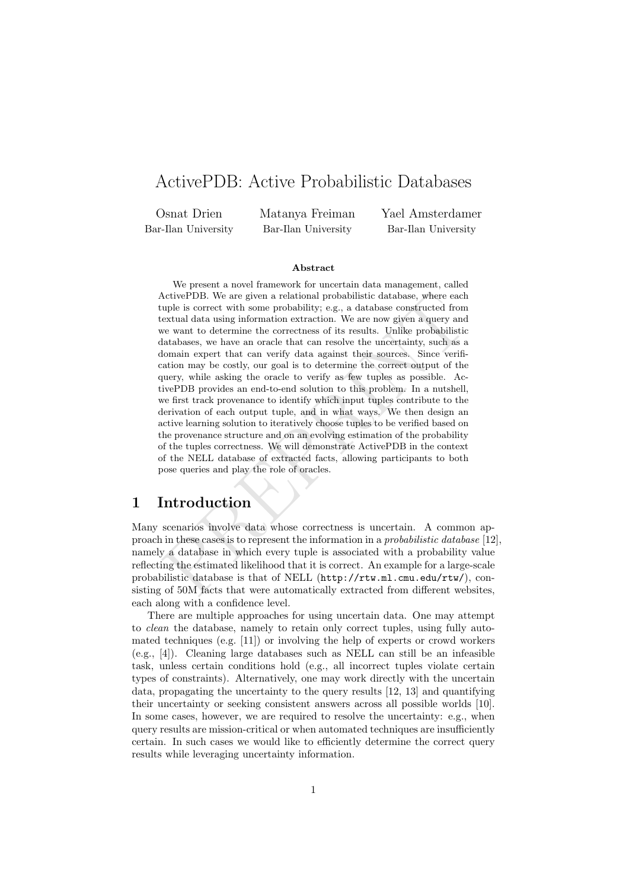# ActivePDB: Active Probabilistic Databases

Osnat Drien Bar-Ilan University Matanya Freiman Bar-Ilan University

Yael Amsterdamer Bar-Ilan University

#### Abstract

ActivePDB. We are given a relational probabilistic database, where each<br>uple is correct with some probability; e.g., a database constructed from<br>textual data using information extraction. We are now given a query and<br>extu We present a novel framework for uncertain data management, called ActivePDB. We are given a relational probabilistic database, where each tuple is correct with some probability; e.g., a database constructed from textual data using information extraction. We are now given a query and we want to determine the correctness of its results. Unlike probabilistic databases, we have an oracle that can resolve the uncertainty, such as a domain expert that can verify data against their sources. Since verification may be costly, our goal is to determine the correct output of the query, while asking the oracle to verify as few tuples as possible. ActivePDB provides an end-to-end solution to this problem. In a nutshell, we first track provenance to identify which input tuples contribute to the derivation of each output tuple, and in what ways. We then design an active learning solution to iteratively choose tuples to be verified based on the provenance structure and on an evolving estimation of the probability of the tuples correctness. We will demonstrate ActivePDB in the context of the NELL database of extracted facts, allowing participants to both pose queries and play the role of oracles.

## 1 Introduction

Many scenarios involve data whose correctness is uncertain. A common approach in these cases is to represent the information in a probabilistic database [\[12\]](#page-9-0), namely a database in which every tuple is associated with a probability value reflecting the estimated likelihood that it is correct. An example for a large-scale probabilistic database is that of NELL (http://rtw.ml.cmu.edu/rtw/), consisting of 50M facts that were automatically extracted from different websites, each along with a confidence level.

There are multiple approaches for using uncertain data. One may attempt to clean the database, namely to retain only correct tuples, using fully automated techniques (e.g. [\[11\]](#page-9-1)) or involving the help of experts or crowd workers (e.g., [\[4\]](#page-8-0)). Cleaning large databases such as NELL can still be an infeasible task, unless certain conditions hold (e.g., all incorrect tuples violate certain types of constraints). Alternatively, one may work directly with the uncertain data, propagating the uncertainty to the query results [\[12,](#page-9-0) [13\]](#page-9-2) and quantifying their uncertainty or seeking consistent answers across all possible worlds [\[10\]](#page-9-3). In some cases, however, we are required to resolve the uncertainty: e.g., when query results are mission-critical or when automated techniques are insufficiently certain. In such cases we would like to efficiently determine the correct query results while leveraging uncertainty information.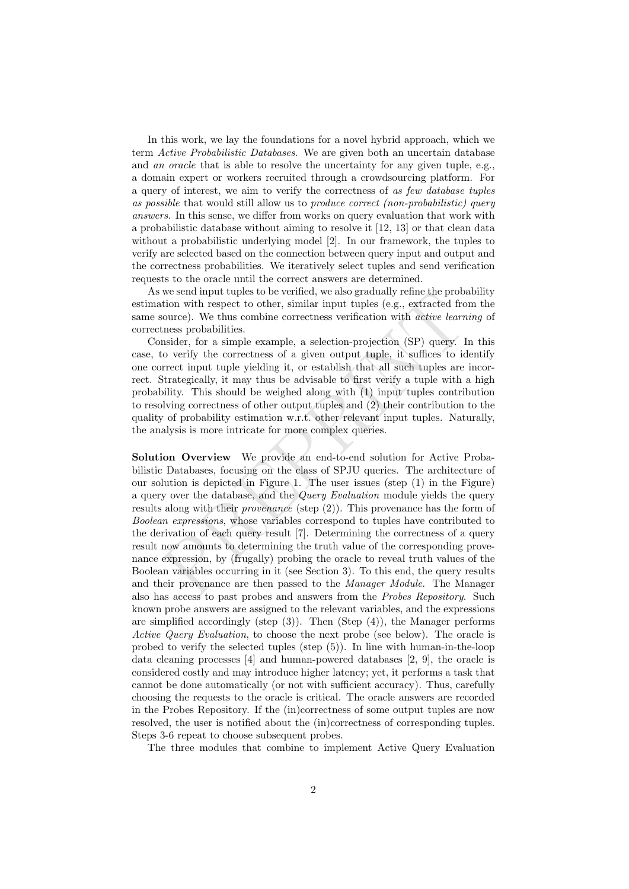In this work, we lay the foundations for a novel hybrid approach, which we term Active Probabilistic Databases. We are given both an uncertain database and an oracle that is able to resolve the uncertainty for any given tuple, e.g., a domain expert or workers recruited through a crowdsourcing platform. For a query of interest, we aim to verify the correctness of as few database tuples as possible that would still allow us to produce correct (non-probabilistic) query answers. In this sense, we differ from works on query evaluation that work with a probabilistic database without aiming to resolve it [\[12,](#page-9-0) [13\]](#page-9-2) or that clean data without a probabilistic underlying model [\[2\]](#page-8-1). In our framework, the tuples to verify are selected based on the connection between query input and output and the correctness probabilities. We iteratively select tuples and send verification requests to the oracle until the correct answers are determined.

As we send input tuples to be verified, we also gradually refine the probability estimation with respect to other, similar input tuples (e.g., extracted from the same source). We thus combine correctness verification with active learning of correctness probabilities.

Consider, for a simple example, a selection-projection (SP) query. In this case, to verify the correctness of a given output tuple, it suffices to identify one correct input tuple yielding it, or establish that all such tuples are incorrect. Strategically, it may thus be advisable to first verify a tuple with a high probability. This should be weighed along with (1) input tuples contribution to resolving correctness of other output tuples and (2) their contribution to the quality of probability estimation w.r.t. other relevant input tuples. Naturally, the analysis is more intricate for more complex queries.

we seen input tuples to everthed, we also gradually reme the probably there is to everthe for so that in with respect to other, similar input tuples (e.g., extracted from ource). We thus combine correctness verification w Solution Overview We provide an end-to-end solution for Active Probabilistic Databases, focusing on the class of SPJU queries. The architecture of our solution is depicted in Figure 1. The user issues (step (1) in the Figure) a query over the database, and the Query Evaluation module yields the query results along with their provenance (step (2)). This provenance has the form of Boolean expressions, whose variables correspond to tuples have contributed to the derivation of each query result [7]. Determining the correctness of a query result now amounts to determining the truth value of the corresponding provenance expression, by (frugally) probing the oracle to reveal truth values of the Boolean variables occurring in it (see Section 3). To this end, the query results and their provenance are then passed to the Manager Module. The Manager also has access to past probes and answers from the Probes Repository. Such known probe answers are assigned to the relevant variables, and the expressions are simplified accordingly (step  $(3)$ ). Then  $(Step (4))$ , the Manager performs Active Query Evaluation, to choose the next probe (see below). The oracle is probed to verify the selected tuples (step (5)). In line with human-in-the-loop data cleaning processes [\[4\]](#page-8-0) and human-powered databases [\[2,](#page-8-1) [9\]](#page-8-3), the oracle is considered costly and may introduce higher latency; yet, it performs a task that cannot be done automatically (or not with sufficient accuracy). Thus, carefully choosing the requests to the oracle is critical. The oracle answers are recorded in the Probes Repository. If the (in)correctness of some output tuples are now resolved, the user is notified about the (in)correctness of corresponding tuples. Steps 3-6 repeat to choose subsequent probes.

The three modules that combine to implement Active Query Evaluation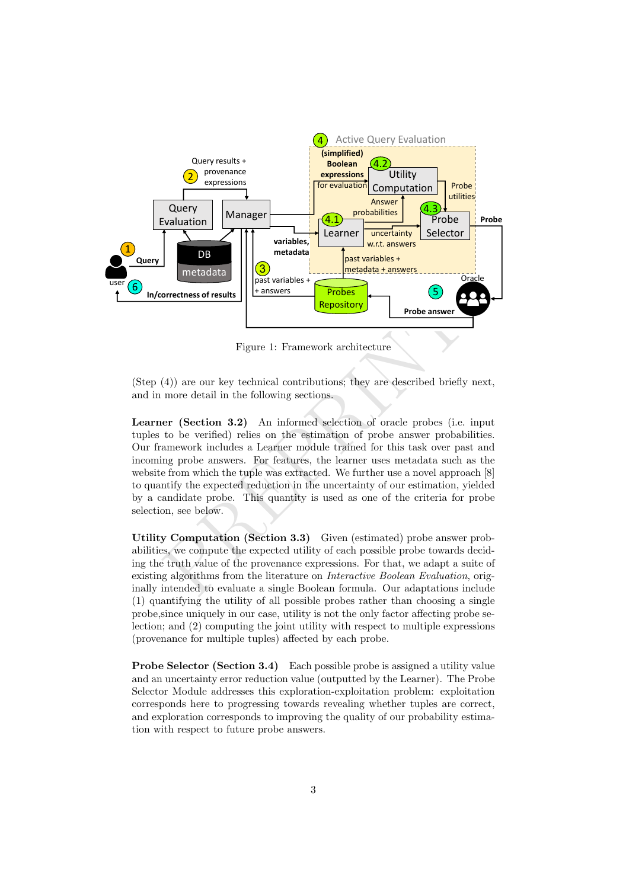<span id="page-2-0"></span>

Figure 1: Framework architecture

(Step (4)) are our key technical contributions; they are described briefly next, and in more detail in the following sections.

From the solution of the same of the ends of the same of the same of the same of the same of the aniver of the aniver of the aniver (4)) are our key technical contributions; they are described briefly more detail in the f Learner (Section 3.2) An informed selection of oracle probes (i.e. input tuples to be verified) relies on the estimation of probe answer probabilities. Our framework includes a Learner module trained for this task over past and incoming probe answers. For features, the learner uses metadata such as the website from which the tuple was extracted. We further use a novel approach [\[8\]](#page-8-4) to quantify the expected reduction in the uncertainty of our estimation, yielded by a candidate probe. This quantity is used as one of the criteria for probe selection, see below.

Utility Computation (Section 3.3) Given (estimated) probe answer probabilities, we compute the expected utility of each possible probe towards deciding the truth value of the provenance expressions. For that, we adapt a suite of existing algorithms from the literature on Interactive Boolean Evaluation, originally intended to evaluate a single Boolean formula. Our adaptations include (1) quantifying the utility of all possible probes rather than choosing a single probe,since uniquely in our case, utility is not the only factor affecting probe selection; and (2) computing the joint utility with respect to multiple expressions (provenance for multiple tuples) affected by each probe.

Probe Selector (Section [3.4\)](#page-6-1) Each possible probe is assigned a utility value and an uncertainty error reduction value (outputted by the Learner). The Probe Selector Module addresses this exploration-exploitation problem: exploitation corresponds here to progressing towards revealing whether tuples are correct, and exploration corresponds to improving the quality of our probability estimation with respect to future probe answers.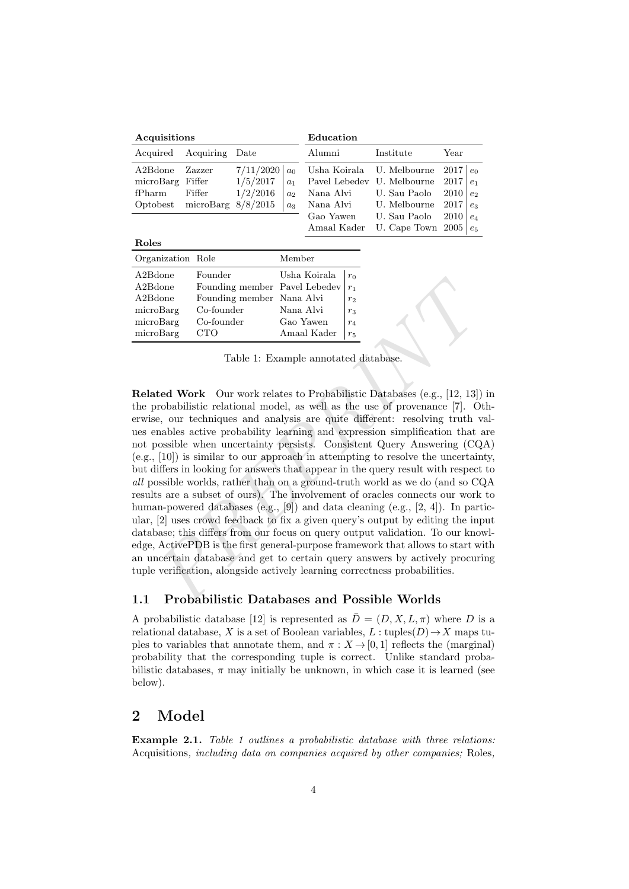<span id="page-3-0"></span>

| Acquisitions     |                               |           |                | Education   |                                           |                |  |
|------------------|-------------------------------|-----------|----------------|-------------|-------------------------------------------|----------------|--|
| Acquired         | Acquiring Date                |           |                | Alumni      | Institute                                 | Year           |  |
| A2Bdone          | Zazzer                        | 7/11/2020 | $a_0$          |             | Usha Koirala U. Melbourne $2017 \mid e_0$ |                |  |
| microBarg Fiffer |                               | 1/5/2017  | a <sub>1</sub> |             | Pavel Lebedev U. Melbourne                | $2017$   $e_1$ |  |
| fPharm           | Fiffer                        | 1/2/2016  | a <sub>2</sub> | Nana Alvi   | U. Sau Paolo                              | $2010$   $e_2$ |  |
|                  | Optobest microBarg $8/8/2015$ |           | $a_3$          |             | Nana Alvi U. Melbourne $2017 \mid e_3$    |                |  |
|                  |                               |           |                | Gao Yawen   | U. Sau Paolo                              | $2010  e_4$    |  |
|                  |                               |           |                | Amaal Kader | U. Cape Town $2005 \mid e_5$              |                |  |

| Organization Role |                               | Member       |                |
|-------------------|-------------------------------|--------------|----------------|
| $A2B$ done        | Founder                       | Usha Koirala | $r_0$          |
| $A2B$ done        | Founding member Pavel Lebedev |              | $r_1$          |
| $A2B$ done        | Founding member Nana Alvi     |              | r <sub>2</sub> |
| microBarg         | Co-founder                    | Nana Alvi    | $r_3$          |
| microBarg         | Co-founder                    | Gao Yawen    | $r_4$          |
| microBarg         | <b>CTO</b>                    | Amaal Kader  | $r_{5}$        |
|                   |                               |              |                |

Roles

Table 1: Example annotated database.

From the Using member Pavel Lebedev  $r_1$ <br>done Founding member Pavel Lebedev  $r_1$ <br>done Founding member Pavel Lebedev  $r_2$ <br>done Founding member Nana Alvi  $r_3$ <br>oBarg Co-founder Vana Alvi  $r_3$ <br>oBarg CTO Amaal Kader  $r_4$ Related Work Our work relates to Probabilistic Databases (e.g., [12, 13]) in the probabilistic relational model, as well as the use of provenance [7]. Otherwise, our techniques and analysis are quite different: resolving truth values enables active probability learning and expression simplification that are not possible when uncertainty persists. Consistent Query Answering (CQA) (e.g., [10]) is similar to our approach in attempting to resolve the uncertainty, but differs in looking for answers that appear in the query result with respect to all possible worlds, rather than on a ground-truth world as we do (and so CQA results are a subset of ours). The involvement of oracles connects our work to human-powered databases (e.g., [9]) and data cleaning (e.g., [2, 4]). In particular, [2] uses crowd feedback to fix a given query's output by editing the input database; this differs from our focus on query output validation. To our knowledge, ActivePDB is the first general-purpose framework that allows to start with an uncertain database and get to certain query answers by actively procuring tuple verification, alongside actively learning correctness probabilities.

### 1.1 Probabilistic Databases and Possible Worlds

A probabilistic database [\[12\]](#page-9-0) is represented as  $\overline{D} = (D, X, L, \pi)$  where D is a relational database, X is a set of Boolean variables,  $L: \text{tuples}(D) \rightarrow X$  maps tuples to variables that annotate them, and  $\pi : X \to [0, 1]$  reflects the (marginal) probability that the corresponding tuple is correct. Unlike standard probabilistic databases,  $\pi$  may initially be unknown, in which case it is learned (see below).

## 2 Model

Example 2.1. Table [1](#page-3-0) outlines a probabilistic database with three relations: Acquisitions, including data on companies acquired by other companies; Roles,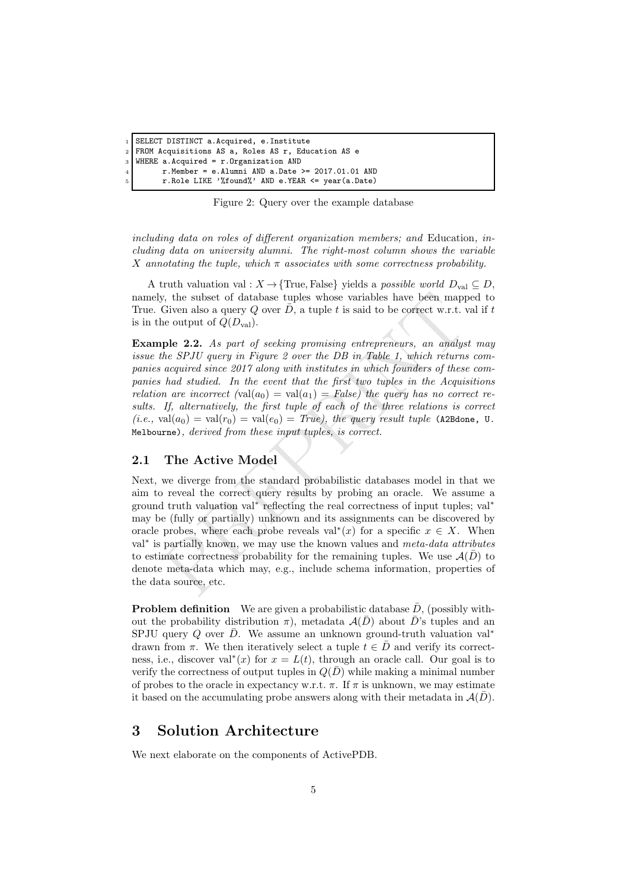```
SELECT DISTINCT a.Acquired, e.Institute
```

```
2 FROM Acquisitions AS a, Roles AS r, Education AS e
```

```
3 WHERE a.Acquired = r.Organization AND
```
 $4$  r.Member = e.Alumni AND a.Date >= 2017.01.01 AND

```
5 r.Role LIKE '%found%' AND e.YEAR <= year(a.Date)
```
Figure 2: Query over the example database

including data on roles of different organization members; and Education, including data on university alumni. The right-most column shows the variable X annotating the tuple, which  $\pi$  associates with some correctness probability.

A truth valuation val :  $X \to \{True, False\}$  yields a *possible world*  $D_{val} \subseteq D$ , namely, the subset of database tuples whose variables have been mapped to True. Given also a query Q over  $\overline{D}$ , a tuple t is said to be correct w.r.t. val if t is in the output of  $Q(D_{val})$ .

<span id="page-4-2"></span>Example 2.2. As part of seeking promising entrepreneurs, an analyst may issue the SPJU query in Figure 2 over the DB in Table 1, which returns companies acquired since 2017 along with institutes in which founders of these companies had studied. In the event that the first two tuples in the Acquisitions relation are incorrect  $\text{(val}(a_0) = \text{val}(a_1) = \text{False})$  the query has no correct results. If, alternatively, the first tuple of each of the three relations is correct  $(i.e., val(a<sub>0</sub>) = val(r<sub>0</sub>) = val(e<sub>0</sub>) = True),$  the query result tuple (A2Bdone, U. Melbourne), derived from these input tuples, is correct.

### 2.1 The Active Model

y, the subset of database tuples whose variables have been mapp<br>Given also a query  $Q$  over  $\bar{D}$ , a tuple  $t$  is said to be correct w.r.t.  $x_0$  and  $Q(D_{val})$ .<br>
The 2.2. As part of seeking promising entrepreneurs, an ana Next, we diverge from the standard probabilistic databases model in that we aim to reveal the correct query results by probing an oracle. We assume a ground truth valuation val<sup>\*</sup> reflecting the real correctness of input tuples; val<sup>\*</sup> may be (fully or partially) unknown and its assignments can be discovered by oracle probes, where each probe reveals val<sup>\*</sup> $(x)$  for a specific  $x \in X$ . When val<sup>\*</sup> is partially known, we may use the known values and meta-data attributes to estimate correctness probability for the remaining tuples. We use  $\mathcal{A}(\bar{D})$  to denote meta-data which may, e.g., include schema information, properties of the data source, etc.

**Problem definition** We are given a probabilistic database  $\bar{D}$ , (possibly without the probability distribution  $\pi$ ), metadata  $\mathcal{A}(\bar{D})$  about  $\bar{D}$ 's tuples and an SPJU query Q over  $\bar{D}$ . We assume an unknown ground-truth valuation val<sup>\*</sup> drawn from  $\pi$ . We then iteratively select a tuple  $\tilde{t} \in \overline{D}$  and verify its correctness, i.e., discover val<sup>∗</sup>(x) for  $x = L(t)$ , through an oracle call. Our goal is to verify the correctness of output tuples in  $Q(\bar{D})$  while making a minimal number of probes to the oracle in expectancy w.r.t.  $\pi$ . If  $\pi$  is unknown, we may estimate it based on the accumulating probe answers along with their metadata in  $\mathcal{A}(\bar{D})$ .

## <span id="page-4-0"></span>3 Solution Architecture

We next elaborate on the components of ActivePDB.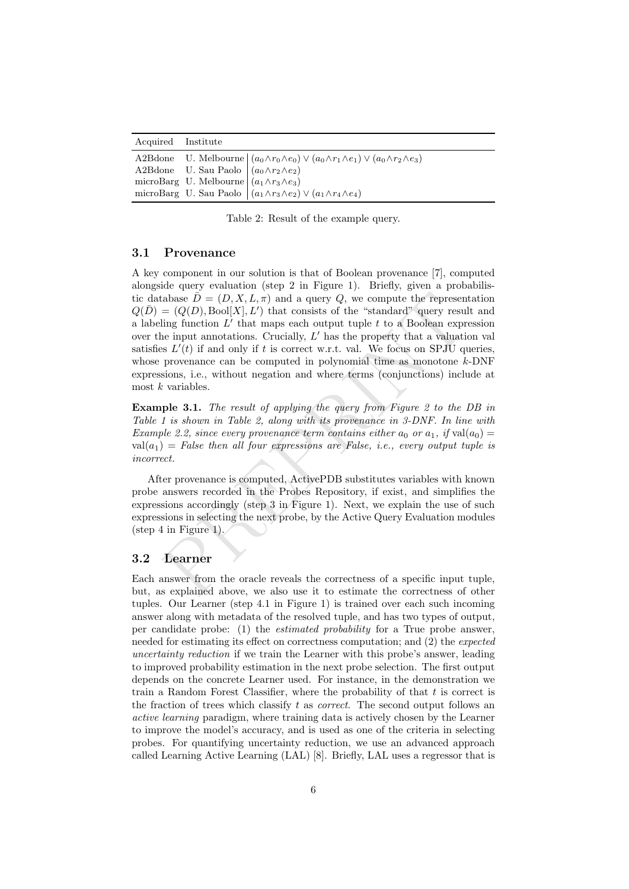<span id="page-5-1"></span>

| Acquired Institute |                                                                                                                                                             |
|--------------------|-------------------------------------------------------------------------------------------------------------------------------------------------------------|
|                    | A2Bdone U. Melbourne $\left( a_0 \wedge r_0 \wedge e_0 \right) \vee \left( a_0 \wedge r_1 \wedge e_1 \right) \vee \left( a_0 \wedge r_2 \wedge e_3 \right)$ |
|                    | A2Bdone U. Sau Paolo $\vert (a_0 \wedge r_2 \wedge e_2) \vert$                                                                                              |
|                    | microBarg U. Melbourne $\left( a_1 \wedge r_3 \wedge e_3 \right)$                                                                                           |
|                    | microBarg U. Sau Paolo $\left( (a_1 \wedge r_3 \wedge e_2) \vee (a_1 \wedge r_4 \wedge e_4) \right)$                                                        |

Table 2: Result of the example query.

#### 3.1 Provenance

cabase  $\vec{D} = (D, X, L, \pi)$  and a query  $Q$ , we compute the represen<br>=  $(Q(D), \text{Bool}[X], L')$  that consists of the "standard" query result<br>ilng function  $L'$  that maps each output tuple t to a Boolean expre<br>ince input annotations. A key component in our solution is that of Boolean provenance [\[7\]](#page-8-2), computed alongside query evaluation (step 2 in Figure [1\)](#page-2-0). Briefly, given a probabilistic database  $\overline{D} = (D, X, L, \pi)$  and a query Q, we compute the representation  $Q(\overline{D}) = (Q(D), \text{Bool}[X], L')$  that consists of the "standard" query result and a labeling function  $L'$  that maps each output tuple  $t$  to a Boolean expression over the input annotations. Crucially,  $L'$  has the property that a valuation val satisfies  $L'(t)$  if and only if t is correct w.r.t. val. We focus on SPJU queries, whose provenance can be computed in polynomial time as monotone  $k$ -DNF expressions, i.e., without negation and where terms (conjunctions) include at most k variables.

**Example 3.1.** The result of applying the query from Figure 2 to the DB in Table [1](#page-3-0) is shown in Table 2, along with its provenance in 3-DNF. In line with Example 2.2, since every provenance term contains either  $a_0$  or  $a_1$ , if  $val(a_0) =$  $val(a_1) = False$  then all four expressions are False, i.e., every output tuple is incorrect.

After provenance is computed, ActivePDB substitutes variables with known probe answers recorded in the Probes Repository, if exist, and simplifies the expressions accordingly (step 3 in Figure 1). Next, we explain the use of such expressions in selecting the next probe, by the Active Query Evaluation modules (step 4 in Figure 1).

#### <span id="page-5-0"></span>3.2 Learner

Each answer from the oracle reveals the correctness of a specific input tuple, but, as explained above, we also use it to estimate the correctness of other tuples. Our Learner (step 4.1 in Figure [1\)](#page-2-0) is trained over each such incoming answer along with metadata of the resolved tuple, and has two types of output, per candidate probe: (1) the *estimated probability* for a True probe answer, needed for estimating its effect on correctness computation; and (2) the expected uncertainty reduction if we train the Learner with this probe's answer, leading to improved probability estimation in the next probe selection. The first output depends on the concrete Learner used. For instance, in the demonstration we train a Random Forest Classifier, where the probability of that  $t$  is correct is the fraction of trees which classify  $t$  as *correct*. The second output follows an active learning paradigm, where training data is actively chosen by the Learner to improve the model's accuracy, and is used as one of the criteria in selecting probes. For quantifying uncertainty reduction, we use an advanced approach called Learning Active Learning (LAL) [\[8\]](#page-8-4). Briefly, LAL uses a regressor that is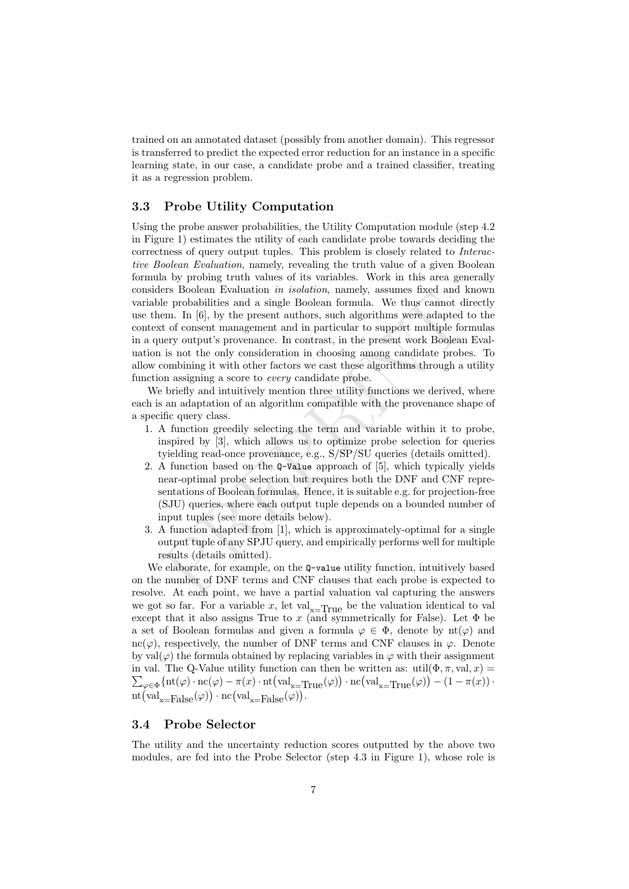trained on an annotated dataset (possibly from another domain). This regressor is transferred to predict the expected error reduction for an instance in a specific learning state, in our case, a candidate probe and a trained classifier, treating it as a regression problem.

### <span id="page-6-0"></span>3.3 Probe Utility Computation

En Bootan Evantation in solution, mattery, assessment to elements be probabilities and a single Boolean formula. We thus cannot diem. In [6], by the present authors, such algorithms were adapted t of consent management an Using the probe answer probabilities, the Utility Computation module (step 4.2 in Figure [1\)](#page-2-0) estimates the utility of each candidate probe towards deciding the correctness of query output tuples. This problem is closely related to Interactive Boolean Evaluation, namely, revealing the truth value of a given Boolean formula by probing truth values of its variables. Work in this area generally considers Boolean Evaluation in isolation, namely, assumes fixed and known variable probabilities and a single Boolean formula. We thus cannot directly use them. In [6], by the present authors, such algorithms were adapted to the context of consent management and in particular to support multiple formulas in a query output's provenance. In contrast, in the present work Boolean Evaluation is not the only consideration in choosing among candidate probes. To allow combining it with other factors we cast these algorithms through a utility function assigning a score to *every* candidate probe.

We briefly and intuitively mention three utility functions we derived, where each is an adaptation of an algorithm compatible with the provenance shape of a specific query class.

- 1. A function greedily selecting the term and variable within it to probe, inspired by [3], which allows us to optimize probe selection for queries tyielding read-once provenance, e.g., S/SP/SU queries (details omitted).
- 2. A function based on the Q-Value approach of [5], which typically yields near-optimal probe selection but requires both the DNF and CNF representations of Boolean formulas. Hence, it is suitable e.g. for projection-free (SJU) queries, where each output tuple depends on a bounded number of input tuples (see more details below).
- 3. A function adapted from [1], which is approximately-optimal for a single output tuple of any SPJU query, and empirically performs well for multiple results (details omitted).

We elaborate, for example, on the  $Q$ -value utility function, intuitively based on the number of DNF terms and CNF clauses that each probe is expected to resolve. At each point, we have a partial valuation val capturing the answers we got so far. For a variable x, let  $val_{x=True}$  be the valuation identical to val except that it also assigns True to x (and symmetrically for False). Let  $\Phi$  be a set of Boolean formulas and given a formula  $\varphi \in \Phi$ , denote by  $\text{nt}(\varphi)$  and nc( $\varphi$ ), respectively, the number of DNF terms and CNF clauses in  $\varphi$ . Denote by val $(\varphi)$  the formula obtained by replacing variables in  $\varphi$  with their assignment in val. The Q-Value utility function can then be written as: util $(\Phi, \pi, \text{val}, x) =$  $\sum_{\varphi \in \Phi} \{nt(\varphi) \cdot nc(\varphi) - \pi(x) \cdot nt\left( val_{x=True}(\varphi) \right) \cdot nc\left( val_{x=True}(\varphi) \right) - (1 - \pi(x)) \cdot$  $\mathrm{nt}\left(\mathrm{val}_{\mathrm{x}=\mathrm{False}}(\varphi)\right)\cdot \mathrm{nc}\left(\mathrm{val}_{\mathrm{x}=\mathrm{False}}(\varphi)\right).$ 

### <span id="page-6-1"></span>3.4 Probe Selector

The utility and the uncertainty reduction scores outputted by the above two modules, are fed into the Probe Selector (step 4.3 in Figure [1\)](#page-2-0), whose role is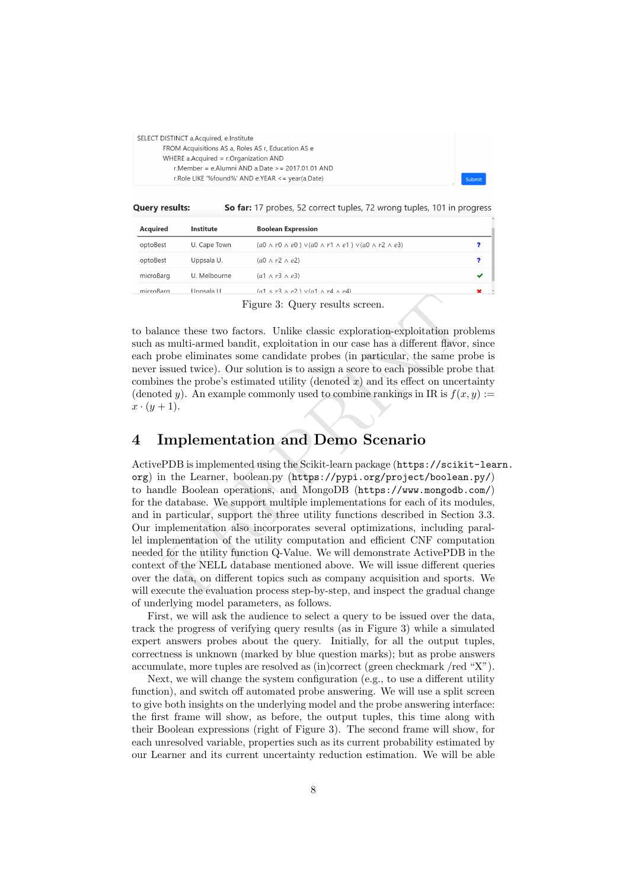<span id="page-7-0"></span>SELECT DISTINCT a Acquired, e Institute FROM Acquisitions AS a, Roles AS r, Education AS e WHERE a Acquired  $=$  r. Organization AND r.Member = e.Alumni AND a.Date > = 2017.01.01 AND r.Role LIKE '%found%' AND e.YEAR <= year(a.Date)

So far: 17 probes, 52 correct tuples, 72 wrong tuples, 101 in progress **Query results:** 

| <b>Acquired</b> | <b>Institute</b> | <b>Boolean Expression</b>                                                              |   |
|-----------------|------------------|----------------------------------------------------------------------------------------|---|
| optoBest        | U. Cape Town     | $(a0 \wedge r0 \wedge e0) \vee (a0 \wedge r1 \wedge e1) \vee (a0 \wedge r2 \wedge e3)$ |   |
| optoBest        | Uppsala U.       | $(a0 \wedge r2 \wedge e2)$                                                             |   |
| microBarg       | U. Melbourne     | $(a1 \wedge r3 \wedge e3)$                                                             | ✔ |
| microBarg       | Unnsala U        | $(a1 \wedge r3 \wedge \rho2) \vee (a1 \wedge r4 \wedge \rho4)$                         |   |

Figure 3: Query results screen.

to balance these two factors. Unlike classic exploration-exploitation problems such as multi-armed bandit, exploitation in our case has a different flavor, since each probe eliminates some candidate probes (in particular, the same probe is never issued twice). Our solution is to assign a score to each possible probe that combines the probe's estimated utility (denoted  $x$ ) and its effect on uncertainty (denoted y). An example commonly used to combine rankings in IR is  $f(x, y) :=$  $x \cdot (y+1)$ .

### 4 Implementation and Demo Scenario

Figure 3: Query results screen.<br>
Figure 3: Query results screen.<br>
ance these two factors. Unlike classic exploration-exploitation pro<br>
smulti-armed bandit, exploitation in our case has a different flavor,<br>
since eliminate ActivePDB is implemented using the Scikit-learn package ([https://scikit-lea](https://scikit-learn.org)rn. [org](https://scikit-learn.org)) in the Learner, boolean.py (https://pypi.org/project/boolean.py/) to handle Boolean operations, and MongoDB (https://www.mongodb.com/) for the database. We support multiple implementations for each of its modules, and in particular, support the three utility functions described in Section [3.3.](#page-6-0) Our implementation also incorporates several optimizations, including parallel implementation of the utility computation and efficient CNF computation needed for the utility function Q-Value. We will demonstrate ActivePDB in the context of the NELL database mentioned above. We will issue different queries over the data, on different topics such as company acquisition and sports. We will execute the evaluation process step-by-step, and inspect the gradual change of underlying model parameters, as follows.

First, we will ask the audience to select a query to be issued over the data, track the progress of verifying query results (as in Figure [3\)](#page-7-0) while a simulated expert answers probes about the query. Initially, for all the output tuples, correctness is unknown (marked by blue question marks); but as probe answers accumulate, more tuples are resolved as (in)correct (green checkmark /red "X").

Next, we will change the system configuration (e.g., to use a different utility function), and switch off automated probe answering. We will use a split screen to give both insights on the underlying model and the probe answering interface: the first frame will show, as before, the output tuples, this time along with their Boolean expressions (right of Figure [3\)](#page-7-0). The second frame will show, for each unresolved variable, properties such as its current probability estimated by our Learner and its current uncertainty reduction estimation. We will be able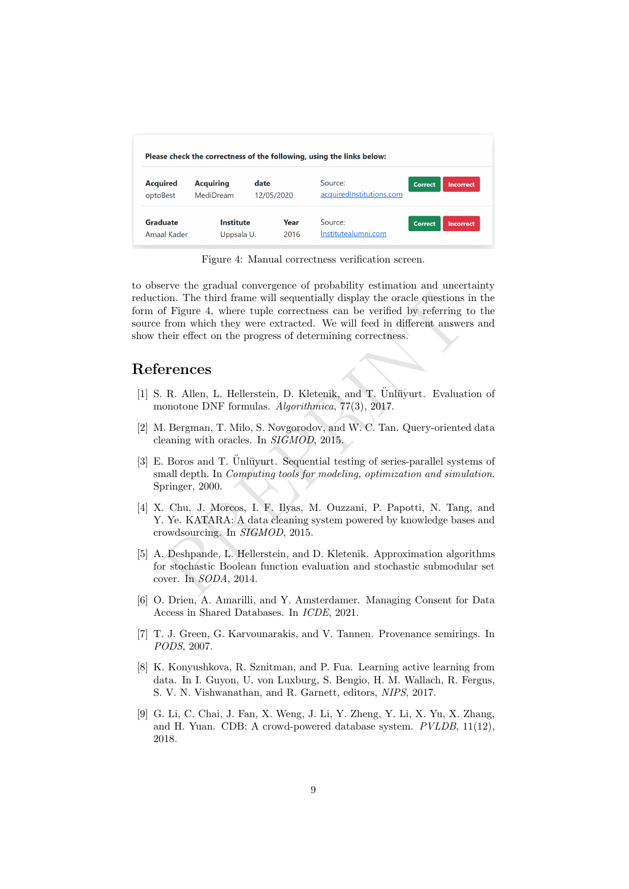<span id="page-8-9"></span>

| <b>Acquired</b><br>optoBest | <b>Acquiring</b><br>MediDream | date<br>12/05/2020 | Source:<br>acquiredInstitutions.com | <b>Correct</b> | <b>Incorrect</b> |
|-----------------------------|-------------------------------|--------------------|-------------------------------------|----------------|------------------|

Figure 4: Manual correctness verification screen.

ion. The third frame will sequentially display the oracle questions<br>
of Figure 4, where tuple correctness can be verified by referring t<br>
from which they were extracted. We will feed in different answer<br>
heir effect on the to observe the gradual convergence of probability estimation and uncertainty reduction. The third frame will sequentially display the oracle questions in the form of Figure 4, where tuple correctness can be verified by referring to the source from which they were extracted. We will feed in different answers and show their effect on the progress of determining correctness.

## References

- <span id="page-8-8"></span>[1] S. R. Allen, L. Hellerstein, D. Kletenik, and T.  $\ddot{U}$ nlüvurt. Evaluation of monotone DNF formulas. Algorithmica, 77(3), 2017.
- <span id="page-8-1"></span>[2] M. Bergman, T. Milo, S. Novgorodov, and W. C. Tan. Query-oriented data cleaning with oracles. In SIGMOD, 2015.
- <span id="page-8-6"></span>[3] E. Boros and T. Ünlüyurt. Sequential testing of series-parallel systems of small depth. In *Computing tools for modeling, optimization and simulation*. Springer, 2000.
- <span id="page-8-0"></span>[4] X. Chu, J. Morcos, I. F. Ilyas, M. Ouzzani, P. Papotti, N. Tang, and Y. Ye. KATARA: A data cleaning system powered by knowledge bases and crowdsourcing. In SIGMOD, 2015.
- <span id="page-8-7"></span>[5] A. Deshpande, L. Hellerstein, and D. Kletenik. Approximation algorithms for stochastic Boolean function evaluation and stochastic submodular set cover. In SODA, 2014.
- <span id="page-8-5"></span>[6] O. Drien, A. Amarilli, and Y. Amsterdamer. Managing Consent for Data Access in Shared Databases. In ICDE, 2021.
- <span id="page-8-2"></span>[7] T. J. Green, G. Karvounarakis, and V. Tannen. Provenance semirings. In PODS, 2007.
- <span id="page-8-4"></span>[8] K. Konyushkova, R. Sznitman, and P. Fua. Learning active learning from data. In I. Guyon, U. von Luxburg, S. Bengio, H. M. Wallach, R. Fergus, S. V. N. Vishwanathan, and R. Garnett, editors, NIPS, 2017.
- <span id="page-8-3"></span>[9] G. Li, C. Chai, J. Fan, X. Weng, J. Li, Y. Zheng, Y. Li, X. Yu, X. Zhang, and H. Yuan. CDB: A crowd-powered database system. PVLDB, 11(12), 2018.